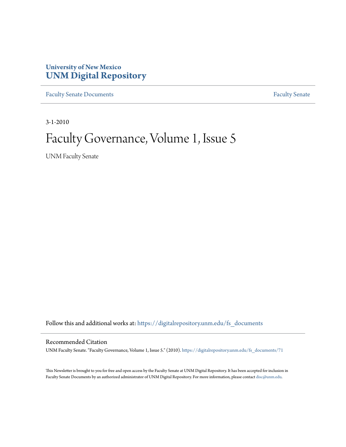### **University of New Mexico [UNM Digital Repository](https://digitalrepository.unm.edu?utm_source=digitalrepository.unm.edu%2Ffs_documents%2F71&utm_medium=PDF&utm_campaign=PDFCoverPages)**

[Faculty Senate Documents](https://digitalrepository.unm.edu/fs_documents?utm_source=digitalrepository.unm.edu%2Ffs_documents%2F71&utm_medium=PDF&utm_campaign=PDFCoverPages) **[Faculty Senate](https://digitalrepository.unm.edu/faculty_senate?utm_source=digitalrepository.unm.edu%2Ffs_documents%2F71&utm_medium=PDF&utm_campaign=PDFCoverPages)** Procuments **Faculty** Senate

3-1-2010

### Faculty Governance, Volume 1, Issue 5

UNM Faculty Senate

Follow this and additional works at: [https://digitalrepository.unm.edu/fs\\_documents](https://digitalrepository.unm.edu/fs_documents?utm_source=digitalrepository.unm.edu%2Ffs_documents%2F71&utm_medium=PDF&utm_campaign=PDFCoverPages)

#### Recommended Citation

UNM Faculty Senate. "Faculty Governance, Volume 1, Issue 5." (2010). [https://digitalrepository.unm.edu/fs\\_documents/71](https://digitalrepository.unm.edu/fs_documents/71?utm_source=digitalrepository.unm.edu%2Ffs_documents%2F71&utm_medium=PDF&utm_campaign=PDFCoverPages)

This Newsletter is brought to you for free and open access by the Faculty Senate at UNM Digital Repository. It has been accepted for inclusion in Faculty Senate Documents by an authorized administrator of UNM Digital Repository. For more information, please contact [disc@unm.edu](mailto:disc@unm.edu).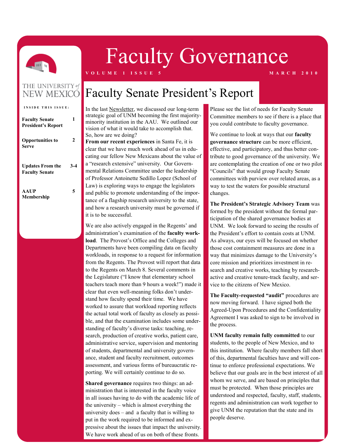

# Faculty Governance

**V O L U M E 1 I S S U E 5 M A R C H 2 0 1 0**

# THE UNIVERSITY of

| <b>INSIDE THIS ISSUE:</b>                          |       |
|----------------------------------------------------|-------|
| <b>Faculty Senate</b><br><b>President's Report</b> | 1     |
| <b>Opportunities to</b><br><b>Serve</b>            | 2     |
| <b>Updates From the</b><br><b>Faculty Senate</b>   | $3-4$ |
| <b>AAUP</b><br>Membership                          |       |

### **NEW MEXICO** Faculty Senate President's Report

In the last [Newsletter,](http://facgov.unm.edu/newsletter/) we discussed our long-term strategic goal of UNM becoming the first majorityminority institution in the AAU. We outlined our vision of what it would take to accomplish that. So, how are we doing?

**From our recent experiences** in Santa Fe, it is clear that we have much work ahead of us in educating our fellow New Mexicans about the value of a "research extensive" university. Our Governmental Relations Committee under the leadership of Professor Antoinette Sedillo Lopez (School of Law) is exploring ways to engage the legislators and public to promote understanding of the importance of a flagship research university to the state, and how a research university must be governed if it is to be successful.

We are also actively engaged in the Regents' and administration's examination of the **faculty workload**. The Provost's Office and the Colleges and Departments have been compiling data on faculty workloads, in response to a request for information from the Regents. The Provost will report that data to the Regents on March 8. Several comments in the Legislature ("I know that elementary school teachers teach more than 9 hours a week!") made it clear that even well-meaning folks don't understand how faculty spend their time. We have worked to assure that workload reporting reflects the actual total work of faculty as closely as possible, and that the examination includes some understanding of faculty's diverse tasks: teaching, research, production of creative works, patient care, administrative service, supervision and mentoring of students, departmental and university governance, student and faculty recruitment, outcomes assessment, and various forms of bureaucratic reporting. We will certainly continue to do so.

**Shared governance** requires two things: an administration that is interested in the faculty voice in all issues having to do with the academic life of the university – which is almost everything the university does – and a faculty that is willing to put in the work required to be informed and expressive about the issues that impact the university. We have work ahead of us on both of these fronts.

Please see the list of needs for Faculty Senate Committee members to see if there is a place that you could contribute to faculty governance.

We continue to look at ways that our **faculty governance structure** can be more efficient, effective, and participatory, and thus better contribute to good governance of the university. We are contemplating the creation of one or two pilot "Councils" that would group Faculty Senate committees with purview over related areas, as a way to test the waters for possible structural changes.

**The President's Strategic Advisory Team** was formed by the president without the formal participation of the shared governance bodies at UNM. We look forward to seeing the results of the President's effort to contain costs at UNM. As always, our eyes will be focused on whether those cost containment measures are done in a way that minimizes damage to the University's core mission and prioritizes investment in research and creative works, teaching by researchactive and creative tenure-track faculty, and service to the citizens of New Mexico.

**The Faculty-requested "audit"** procedures are now moving forward. I have signed both the Agreed-Upon Procedures and the Confidentiality Agreement I was asked to sign to be involved in the process.

**UNM faculty remain fully committed** to our students, to the people of New Mexico, and to this institution. Where faculty members fall short of this, departmental faculties have and will continue to enforce professional expectations. We believe that our goals are in the best interest of all whom we serve, and are based on principles that must be protected. When those principles are understood and respected, faculty, staff, students, regents and administration can work together to give UNM the reputation that the state and its people deserve.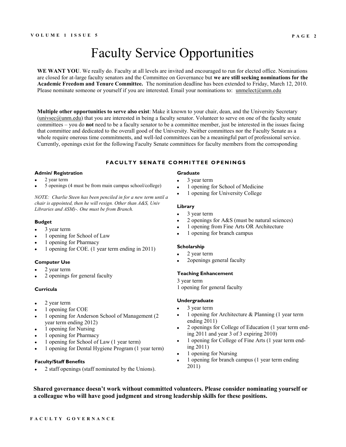### Faculty Service Opportunities

**WE WANT YOU**. We really do. Faculty at all levels are invited and encouraged to run for elected office. Nominations are closed for at-large faculty senators and the Committee on Governance but **we are still seeking nominations for the Academic Freedom and Tenure Committee.** The nomination deadline has been extended to Friday, March 12, 2010. Please nominate someone or yourself if you are interested. Email your nominations to: [unmelect@unm.edu](mailto:unmelect@unm.edu)

**Multiple other opportunities to serve also exist**: Make it known to your chair, dean, and the University Secretary  $(univsec@uum.edu)$  that you are interested in being a faculty senator. Volunteer to serve on one of the faculty senate committees – you do **not** need to be a faculty senator to be a committee member, just be interested in the issues facing that committee and dedicated to the overall good of the University. Neither committees nor the Faculty Senate as a whole require onerous time commitments, and well-led committees can be a meaningful part of professional service. Currently, openings exist for the following Faculty Senate committees for faculty members from the corresponding

#### **FACULTY SENATE COMMITTEE OPENINGS**

#### **Admin/ Registration**

- 2 year term
- 5 openings (4 must be from main campus school/college)

*NOTE: Charlie Steen has been penciled in for a new term until a chair is appointed, then he will resign. Other than A&S, Univ Libraries and ASM)-. One must be from Branch.*

#### **Budget**

- 3 year term  $\bullet$
- 1 opening for School of Law  $\bullet$
- 1 opening for Pharmacy
- 1 opening for COE. (1 year term ending in 2011)

#### **Computer Use**

- 2 year term
- 2 openings for general faculty

#### **Curricula**

- 2 year term  $\bullet$
- 1 opening for COE
- 1 opening for Anderson School of Management (2  $\bullet$ year term ending 2012)
- 1 opening for Nursing  $\bullet$
- 1 opening for Pharmacy
- 1 opening for School of Law (1 year term)
- 1 opening for Dental Hygiene Program (1 year term)

#### **Faculty/Staff Benefits**

2 staff openings (staff nominated by the Unions).

#### **Graduate**

- 3 year term
- 1 opening for School of Medicine
- 1 opening for University College

#### **Library**

- $\ddot{\phantom{a}}$ 3 year term
- 2 openings for A&S (must be natural sciences)
- 1 opening from Fine Arts OR Architecture
- 1 opening for branch campus

#### **Scholarship**

- 2 year term
- 2openings general faculty

#### **Teaching Enhancement**

- 3 year term
- 1 opening for general faculty

#### **Undergraduate**

- 3 year term
- 1 opening for Architecture & Planning (1 year term ending 2011)
- 2 openings for College of Education (1 year term ending 2011 and year 3 of 3 expiring 2010)
- 1 opening for College of Fine Arts (1 year term ending 2011)
- 1 opening for Nursing
- 1 opening for branch campus (1 year term ending 2011)

**Shared governance doesn't work without committed volunteers. Please consider nominating yourself or a colleague who will have good judgment and strong leadership skills for these positions.**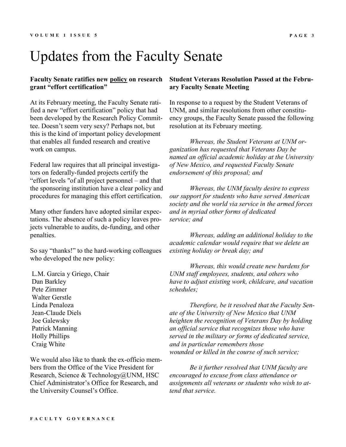## Updates from the Faculty Senate

#### **Faculty Senate ratifies new [policy](http://facgov.unm.edu/workingdocs/) on research grant "effort certification"**

At its February meeting, the Faculty Senate ratified a new "effort certification" policy that had been developed by the Research Policy Committee. Doesn't seem very sexy? Perhaps not, but this is the kind of important policy development that enables all funded research and creative work on campus.

Federal law requires that all principal investigators on federally-funded projects certify the "effort levels "of all project personnel – and that the sponsoring institution have a clear policy and procedures for managing this effort certification.

Many other funders have adopted similar expectations. The absence of such a policy leaves projects vulnerable to audits, de-funding, and other penalties.

So say "thanks!" to the hard-working colleagues who developed the new policy:

L.M. Garcia y Griego, Chair Dan Barkley Pete Zimmer Walter Gerstle Linda Penaloza Jean-Claude Diels Joe Galewsky Patrick Manning Holly Phillips Craig White

We would also like to thank the ex-officio members from the Office of the Vice President for Research, Science & Technology@UNM, HSC Chief Administrator's Office for Research, and the University Counsel's Office.

#### **Student Veterans Resolution Passed at the February Faculty Senate Meeting**

In response to a request by the Student Veterans of UNM, and similar resolutions from other constituency groups, the Faculty Senate passed the following resolution at its February meeting.

*Whereas, the Student Veterans at UNM organization has requested that Veterans Day be named an official academic holiday at the University of New Mexico, and requested Faculty Senate endorsement of this proposal; and*

*Whereas, the UNM faculty desire to express our support for students who have served American society and the world via service in the armed forces and in myriad other forms of dedicated service; and*

*Whereas, adding an additional holiday to the academic calendar would require that we delete an existing holiday or break day; and*

*Whereas, this would create new burdens for UNM staff employees, students, and others who have to adjust existing work, childcare, and vacation schedules;*

*Therefore, be it resolved that the Faculty Senate of the University of New Mexico that UNM heighten the recognition of Veterans Day by holding an official service that recognizes those who have served in the military or forms of dedicated service, and in particular remembers those wounded or killed in the course of such service;*

*Be it further resolved that UNM faculty are encouraged to excuse from class attendance or assignments all veterans or students who wish to attend that service.*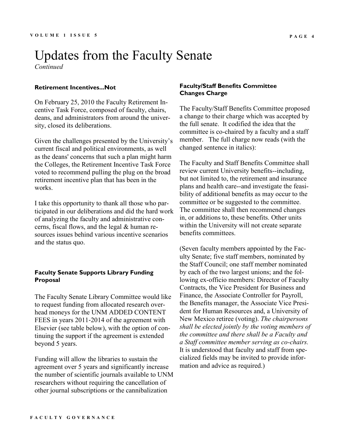### Updates from the Faculty Senate *Continued*

#### **Retirement Incentives...Not**

On February 25, 2010 the Faculty Retirement Incentive Task Force, composed of faculty, chairs, deans, and administrators from around the university, closed its deliberations.

Given the challenges presented by the University's current fiscal and political environments, as well as the deans' concerns that such a plan might harm the Colleges, the Retirement Incentive Task Force voted to recommend pulling the plug on the broad retirement incentive plan that has been in the works.

I take this opportunity to thank all those who participated in our deliberations and did the hard work of analyzing the faculty and administrative concerns, fiscal flows, and the legal & human resources issues behind various incentive scenarios and the status quo.

#### **Faculty Senate Supports Library Funding Proposal**

The Faculty Senate Library Committee would like to request funding from allocated research overhead moneys for the UNM ADDED CONTENT FEES in years 2011‐2014 of the agreement with Elsevier (see table below), with the option of continuing the support if the agreement is extended beyond 5 years.

Funding will allow the libraries to sustain the agreement over 5 years and significantly increase the number of scientific journals available to UNM researchers without requiring the cancellation of other journal subscriptions or the cannibalization

#### **Faculty/Staff Benefits Committee Changes Charge**

The Faculty/Staff Benefits Committee proposed a change to their charge which was accepted by the full senate. It codified the idea that the committee is co-chaired by a faculty and a staff member. The full charge now reads (with the changed sentence in italics):

The Faculty and Staff Benefits Committee shall review current University benefits--including, but not limited to, the retirement and insurance plans and health care--and investigate the feasibility of additional benefits as may occur to the committee or be suggested to the committee. The committee shall then recommend changes in, or additions to, these benefits. Other units within the University will not create separate benefits committees.

(Seven faculty members appointed by the Faculty Senate; five staff members, nominated by the Staff Council; one staff member nominated by each of the two largest unions; and the following ex-officio members: Director of Faculty Contracts, the Vice President for Business and Finance, the Associate Controller for Payroll, the Benefits manager, the Associate Vice President for Human Resources and, a University of New Mexico retiree (voting). *The chairpersons shall be elected jointly by the voting members of the committee and there shall be a Faculty and a Staff committee member serving as co-chairs.*  It is understood that faculty and staff from specialized fields may be invited to provide information and advice as required.)